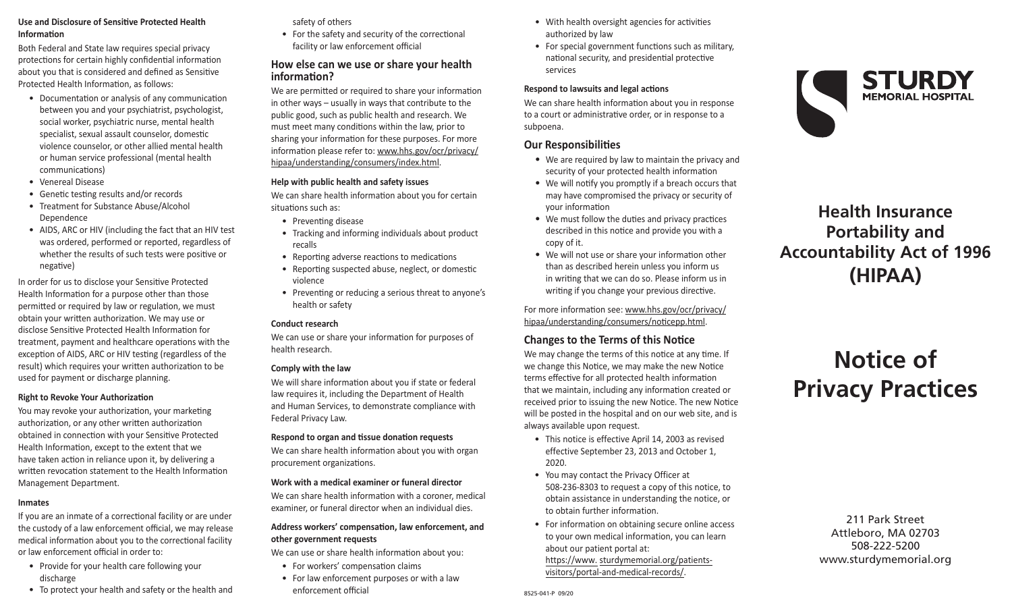## **Use and Disclosure of Sensitive Protected Health Information**

Both Federal and State law requires special privacy protections for certain highly confidential information about you that is considered and defined as Sensitive Protected Health Information, as follows:

- Documentation or analysis of any communication between you and your psychiatrist, psychologist, social worker, psychiatric nurse, mental health specialist, sexual assault counselor, domestic violence counselor, or other allied mental health or human service professional (mental health communications)
- Venereal Disease
- Genetic testing results and/or records
- Treatment for Substance Abuse/Alcohol Dependence
- AIDS, ARC or HIV (including the fact that an HIV test was ordered, performed or reported, regardless of whether the results of such tests were positive or negative)

In order for us to disclose your Sensitive Protected Health Information for a purpose other than those permitted or required by law or regulation, we must obtain your written authorization. We may use or disclose Sensitive Protected Health Information for treatment, payment and healthcare operations with the exception of AIDS, ARC or HIV testing (regardless of the result) which requires your written authorization to be used for payment or discharge planning.

#### **Right to Revoke Your Authorization**

You may revoke your authorization, your marketing authorization, or any other written authorization obtained in connection with your Sensitive Protected Health Information, except to the extent that we have taken action in reliance upon it, by delivering a written revocation statement to the Health Information Management Department.

#### **Inmates**

If you are an inmate of a correctional facility or are under the custody of a law enforcement official, we may release medical information about you to the correctional facility or law enforcement official in order to:

- Provide for your health care following your discharge
- To protect your health and safety or the health and

safety of others

• For the safety and security of the correctional facility or law enforcement official

# **How else can we use or share your health information?**

We are permitted or required to share your information in other ways – usually in ways that contribute to the public good, such as public health and research. We must meet many conditions within the law, prior to sharing your information for these purposes. For more information please refer to: www.hhs.gov/ocr/privacy/ hipaa/understanding/consumers/index.html.

#### **Help with public health and safety issues**

We can share health information about you for certain situations such as:

- Preventing disease
- Tracking and informing individuals about product recalls
- Reporting adverse reactions to medications
- Reporting suspected abuse, neglect, or domestic violence
- Preventing or reducing a serious threat to anyone's health or safety

#### **Conduct research**

We can use or share your information for purposes of health research.

#### **Comply with the law**

We will share information about you if state or federal law requires it, including the Department of Health and Human Services, to demonstrate compliance with Federal Privacy Law.

#### **Respond to organ and tissue donation requests**

We can share health information about you with organ procurement organizations.

#### **Work with a medical examiner or funeral director**

We can share health information with a coroner, medical examiner, or funeral director when an individual dies.

#### **Address workers' compensation, law enforcement, and other government requests**

We can use or share health information about you:

- For workers' compensation claims
- For law enforcement purposes or with a law enforcement official and the state of the state of the state of the state of the state of the state of the state of the state of the state of the state of the state of the state of the state of the state of the state of th
- With health oversight agencies for activities authorized by law
- For special government functions such as military, national security, and presidential protective services

#### **Respond to lawsuits and legal actions**

We can share health information about you in response to a court or administrative order, or in response to a subpoena.

#### **Our Responsibilities**

- We are required by law to maintain the privacy and security of your protected health information
- We will notify you promptly if a breach occurs that may have compromised the privacy or security of your information
- We must follow the duties and privacy practices described in this notice and provide you with a copy of it.
- We will not use or share your information other than as described herein unless you inform us in writing that we can do so. Please inform us in writing if you change your previous directive.

For more information see: www.hhs.gov/ocr/privacy/ hipaa/understanding/consumers/noticepp.html.

# **Changes to the Terms of this Notice**

We may change the terms of this notice at any time. If we change this Notice, we may make the new Notice terms effective for all protected health information that we maintain, including any information created or received prior to issuing the new Notice. The new Notice will be posted in the hospital and on our web site, and is always available upon request.

- This notice is effective April 14, 2003 as revised effective September 23, 2013 and October 1, 2020.
- You may contact the Privacy Officer at 508-236-8303 to request a copy of this notice, to obtain assistance in understanding the notice, or to obtain further information.
- For information on obtaining secure online access to your own medical information, you can learn about our patient portal at: https://www. sturdymemorial.org/patients[visitors/portal-and-medical-records/](https://www.sturdymemorial.org/patients-visitors/portal-and-medical-records/).



# **Health Insurance Portability and Accountability Act of 1996 (HIPAA)**

# **Notice of Privacy Practices**

211 Park Street Attleboro, MA 02703 508-222-5200 www.sturdymemorial.org